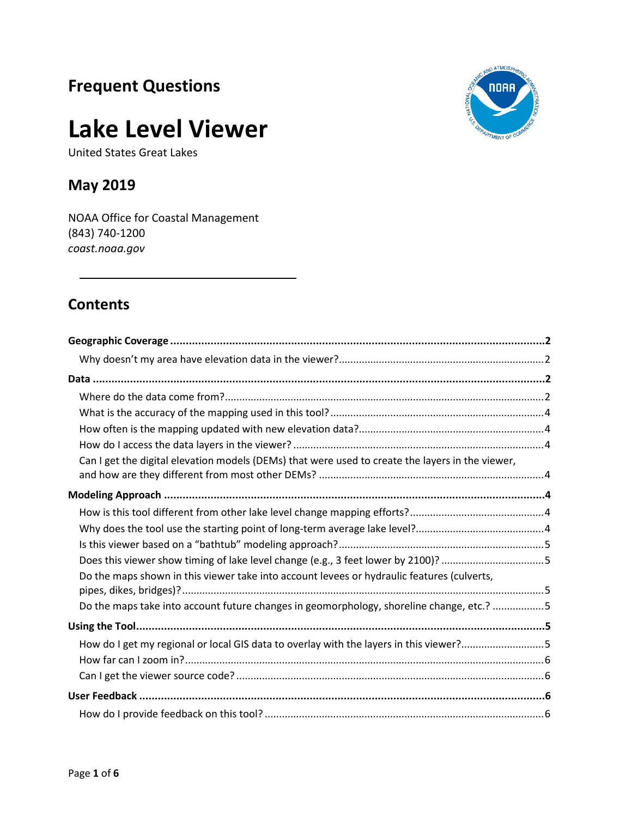# **Frequent Questions**

# **Lake Level Viewer**

United States Great Lakes

## **May 2019**

NOAA Office for Coastal Management (843) 740-1200 *[coast.noaa.gov](https://www.coast.noaa.gov/)*

## **Contents**

| Can I get the digital elevation models (DEMs) that were used to create the layers in the viewer, |  |
|--------------------------------------------------------------------------------------------------|--|
|                                                                                                  |  |
|                                                                                                  |  |
|                                                                                                  |  |
|                                                                                                  |  |
| Does this viewer show timing of lake level change (e.g., 3 feet lower by 2100)? 5                |  |
| Do the maps shown in this viewer take into account levees or hydraulic features (culverts,       |  |
| Do the maps take into account future changes in geomorphology, shoreline change, etc.? 5         |  |
|                                                                                                  |  |
| How do I get my regional or local GIS data to overlay with the layers in this viewer?5           |  |
|                                                                                                  |  |
|                                                                                                  |  |
|                                                                                                  |  |
|                                                                                                  |  |

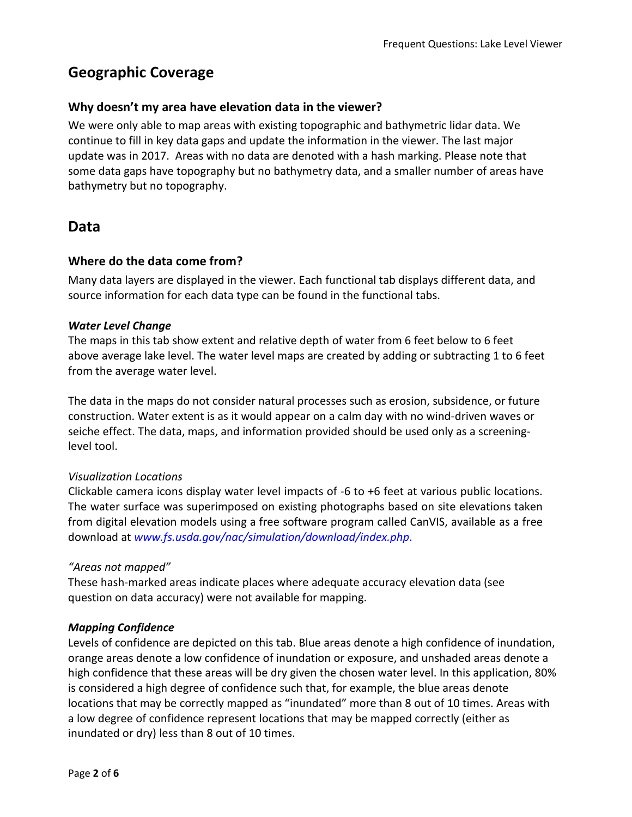## <span id="page-1-0"></span>**Geographic Coverage**

#### <span id="page-1-1"></span>**Why doesn't my area have elevation data in the viewer?**

We were only able to map areas with existing topographic and bathymetric lidar data. We continue to fill in key data gaps and update the information in the viewer. The last major update was in 2017. Areas with no data are denoted with a hash marking. Please note that some data gaps have topography but no bathymetry data, and a smaller number of areas have bathymetry but no topography.

#### <span id="page-1-2"></span>**Data**

#### <span id="page-1-3"></span>**Where do the data come from?**

Many data layers are displayed in the viewer. Each functional tab displays different data, and source information for each data type can be found in the functional tabs.

#### *Water Level Change*

The maps in this tab show extent and relative depth of water from 6 feet below to 6 feet above average lake level. The water level maps are created by adding or subtracting 1 to 6 feet from the average water level.

The data in the maps do not consider natural processes such as erosion, subsidence, or future construction. Water extent is as it would appear on a calm day with no wind-driven waves or seiche effect. The data, maps, and information provided should be used only as a screeninglevel tool.

#### *Visualization Locations*

Clickable camera icons display water level impacts of -6 to +6 feet at various public locations. The water surface was superimposed on existing photographs based on site elevations taken from digital elevation models using a free software program called CanVIS, available as a free download at *[www.fs.usda.gov/nac/simulation/download/index.php](http://www.fs.usda.gov/nac/simulation/download/index.php)*.

#### *"Areas not mapped"*

These hash-marked areas indicate places where adequate accuracy elevation data (see question on data accuracy) were not available for mapping.

#### *Mapping Confidence*

Levels of confidence are depicted on this tab. Blue areas denote a high confidence of inundation, orange areas denote a low confidence of inundation or exposure, and unshaded areas denote a high confidence that these areas will be dry given the chosen water level. In this application, 80% is considered a high degree of confidence such that, for example, the blue areas denote locations that may be correctly mapped as "inundated" more than 8 out of 10 times. Areas with a low degree of confidence represent locations that may be mapped correctly (either as inundated or dry) less than 8 out of 10 times.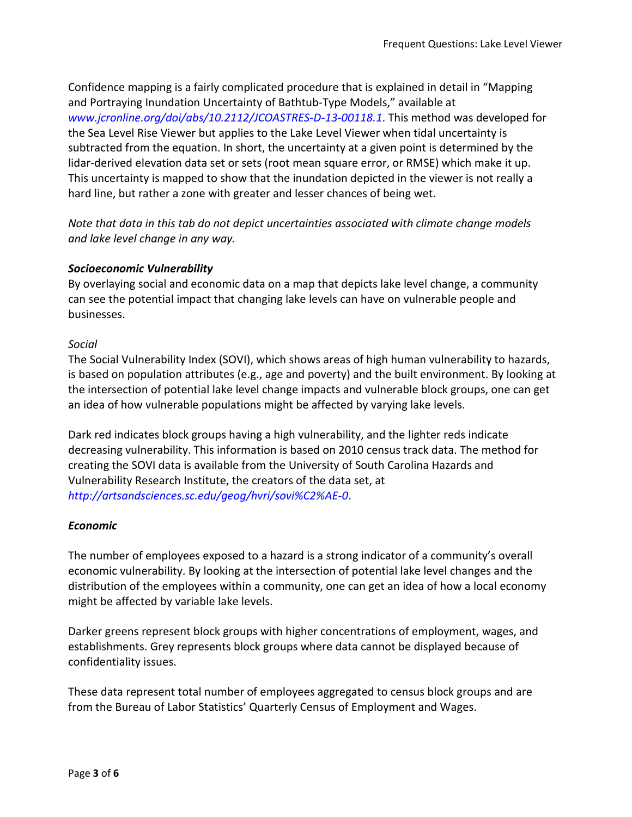Confidence mapping is a fairly complicated procedure that is explained in detail in "Mapping and Portraying Inundation Uncertainty of Bathtub-Type Models," available at *[www.jcronline.org/doi/abs/10.2112/JCOASTRES-D-13-00118.1](http://www.jcronline.org/doi/abs/10.2112/JCOASTRES-D-13-00118.1)*. This method was developed for the Sea Level Rise Viewer but applies to the Lake Level Viewer when tidal uncertainty is subtracted from the equation. In short, the uncertainty at a given point is determined by the lidar-derived elevation data set or sets (root mean square error, or RMSE) which make it up. This uncertainty is mapped to show that the inundation depicted in the viewer is not really a hard line, but rather a zone with greater and lesser chances of being wet.

*Note that data in this tab do not depict uncertainties associated with climate change models and lake level change in any way.*

#### *Socioeconomic Vulnerability*

By overlaying social and economic data on a map that depicts lake level change, a community can see the potential impact that changing lake levels can have on vulnerable people and businesses.

#### *Social*

The Social Vulnerability Index (SOVI), which shows areas of high human vulnerability to hazards, is based on population attributes (e.g., age and poverty) and the built environment. By looking at the intersection of potential lake level change impacts and vulnerable block groups, one can get an idea of how vulnerable populations might be affected by varying lake levels.

Dark red indicates block groups having a high vulnerability, and the lighter reds indicate decreasing vulnerability. This information is based on 2010 census track data. The method for creating the SOVI data is available from the University of South Carolina Hazards and Vulnerability Research Institute, the creators of the data set, at *<http://artsandsciences.sc.edu/geog/hvri/sovi%C2%AE-0>*.

#### *Economic*

The number of employees exposed to a hazard is a strong indicator of a community's overall economic vulnerability. By looking at the intersection of potential lake level changes and the distribution of the employees within a community, one can get an idea of how a local economy might be affected by variable lake levels.

Darker greens represent block groups with higher concentrations of employment, wages, and establishments. Grey represents block groups where data cannot be displayed because of confidentiality issues.

These data represent total number of employees aggregated to census block groups and are from the Bureau of Labor Statistics' Quarterly Census of Employment and Wages.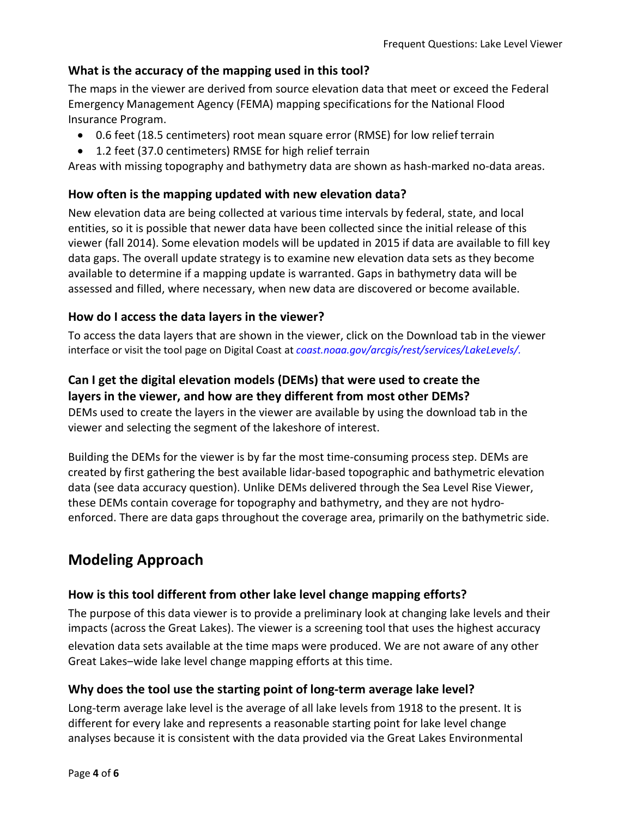#### <span id="page-3-0"></span>**What is the accuracy of the mapping used in this tool?**

The maps in the viewer are derived from source elevation data that meet or exceed the Federal Emergency Management Agency (FEMA) mapping specifications for the National Flood Insurance Program.

- 0.6 feet (18.5 centimeters) root mean square error (RMSE) for low relief terrain
- 1.2 feet (37.0 centimeters) RMSE for high relief terrain

Areas with missing topography and bathymetry data are shown as hash-marked no-data areas.

#### <span id="page-3-1"></span>**How often is the mapping updated with new elevation data?**

New elevation data are being collected at various time intervals by federal, state, and local entities, so it is possible that newer data have been collected since the initial release of this viewer (fall 2014). Some elevation models will be updated in 2015 if data are available to fill key data gaps. The overall update strategy is to examine new elevation data sets as they become available to determine if a mapping update is warranted. Gaps in bathymetry data will be assessed and filled, where necessary, when new data are discovered or become available.

#### <span id="page-3-2"></span>**How do I access the data layers in the viewer?**

To access the data layers that are shown in the viewer, click on the Download tab in the viewer interface or visit the tool page on Digital Coast at *[coast.noaa.gov/arcgis/rest/services/LakeLevels/.](https://coast.noaa.gov/arcgis/rest/services/LakeLevels/)*

#### <span id="page-3-3"></span>**Can I get the digital elevation models (DEMs) that were used to create the layers in the viewer, and how are they different from most other DEMs?**

DEMs used to create the layers in the viewer are available by using the download tab in the viewer and selecting the segment of the lakeshore of interest.

Building the DEMs for the viewer is by far the most time-consuming process step. DEMs are created by first gathering the best available lidar-based topographic and bathymetric elevation data (see data accuracy question). Unlike DEMs delivered through the Sea Level Rise Viewer, these DEMs contain coverage for topography and bathymetry, and they are not hydroenforced. There are data gaps throughout the coverage area, primarily on the bathymetric side.

## <span id="page-3-4"></span>**Modeling Approach**

#### <span id="page-3-5"></span>**How is this tool different from other lake level change mapping efforts?**

The purpose of this data viewer is to provide a preliminary look at changing lake levels and their impacts (across the Great Lakes). The viewer is a screening tool that uses the highest accuracy elevation data sets available at the time maps were produced. We are not aware of any other Great Lakes-wide lake level change mapping efforts at this time.

#### <span id="page-3-6"></span>**Why does the tool use the starting point of long-term average lake level?**

Long-term average lake level is the average of all lake levels from 1918 to the present. It is different for every lake and represents a reasonable starting point for lake level change analyses because it is consistent with the data provided via the Great Lakes Environmental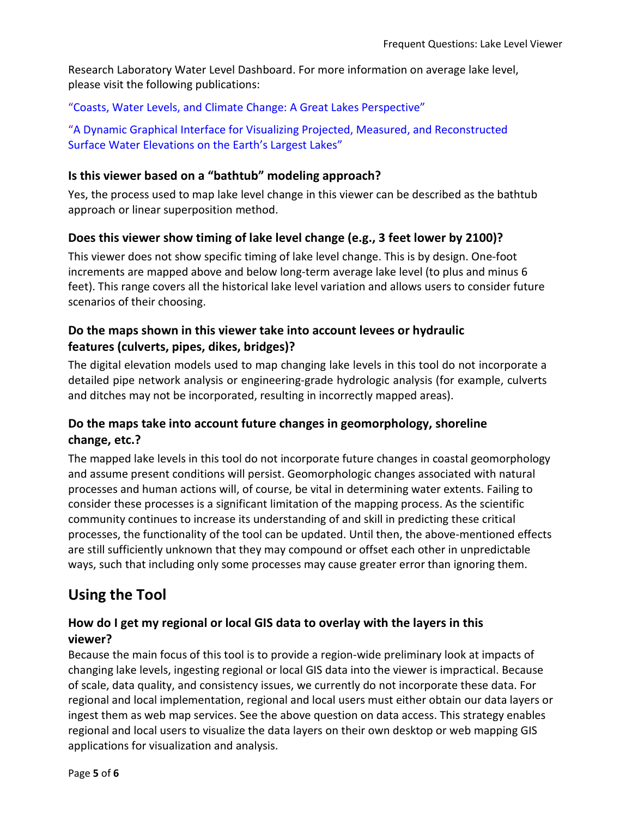Research Laboratory Water Level Dashboard. For more information on average lake level, please visit the following publications:

["Coasts, Water Levels, and Climate Change: A Great Lakes Perspective"](http://www.glerl.noaa.gov/pubs/fulltext/2013/20130021.pdf) 

["A Dynamic Graphical Interface for Visualizing Projected, Measured, and Reconstructed](http://www.glerl.noaa.gov/pubs/fulltext/2013/20130022.pdf)  [Surface Water Elevations on the Earth's Largest Lakes"](http://www.glerl.noaa.gov/pubs/fulltext/2013/20130022.pdf)

#### <span id="page-4-0"></span>**Is this viewer based on a "bathtub" modeling approach?**

Yes, the process used to map lake level change in this viewer can be described as the bathtub approach or linear superposition method.

#### <span id="page-4-1"></span>**Does this viewer show timing of lake level change (e.g., 3 feet lower by 2100)?**

This viewer does not show specific timing of lake level change. This is by design. One-foot increments are mapped above and below long-term average lake level (to plus and minus 6 feet). This range covers all the historical lake level variation and allows users to consider future scenarios of their choosing.

#### <span id="page-4-2"></span>**Do the maps shown in this viewer take into account levees or hydraulic features (culverts, pipes, dikes, bridges)?**

The digital elevation models used to map changing lake levels in this tool do not incorporate a detailed pipe network analysis or engineering-grade hydrologic analysis (for example, culverts and ditches may not be incorporated, resulting in incorrectly mapped areas).

#### <span id="page-4-3"></span>**Do the maps take into account future changes in geomorphology, shoreline change, etc.?**

The mapped lake levels in this tool do not incorporate future changes in coastal geomorphology and assume present conditions will persist. Geomorphologic changes associated with natural processes and human actions will, of course, be vital in determining water extents. Failing to consider these processes is a significant limitation of the mapping process. As the scientific community continues to increase its understanding of and skill in predicting these critical processes, the functionality of the tool can be updated. Until then, the above-mentioned effects are still sufficiently unknown that they may compound or offset each other in unpredictable ways, such that including only some processes may cause greater error than ignoring them.

## <span id="page-4-4"></span>**Using the Tool**

#### <span id="page-4-5"></span>**How do I get my regional or local GIS data to overlay with the layers in this viewer?**

Because the main focus of this tool is to provide a region-wide preliminary look at impacts of changing lake levels, ingesting regional or local GIS data into the viewer is impractical. Because of scale, data quality, and consistency issues, we currently do not incorporate these data. For regional and local implementation, regional and local users must either obtain our data layers or ingest them as web map services. See the above question on data access. This strategy enables regional and local users to visualize the data layers on their own desktop or web mapping GIS applications for visualization and analysis.